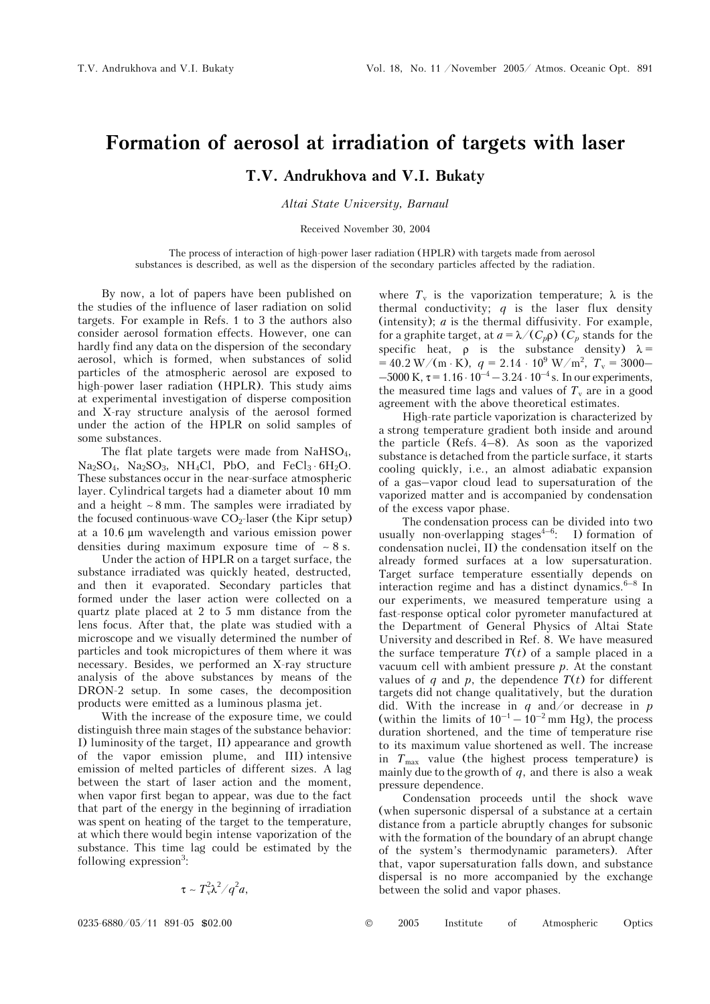## **Formation of aerosol at irradiation of targets with laser**

**T.V. Andrukhova and V.I. Bukaty** 

*Altai State University, Barnaul* 

Received November 30, 2004

The process of interaction of high-power laser radiation (HPLR) with targets made from aerosol substances is described, as well as the dispersion of the secondary particles affected by the radiation.

By now, a lot of papers have been published on the studies of the influence of laser radiation on solid targets. For example in Refs. 1 to 3 the authors also consider aerosol formation effects. However, one can hardly find any data on the dispersion of the secondary aerosol, which is formed, when substances of solid particles of the atmospheric aerosol are exposed to high-power laser radiation (HPLR). This study aims at experimental investigation of disperse composition and X-ray structure analysis of the aerosol formed under the action of the HPLR on solid samples of some substances.

The flat plate targets were made from  $NaHSO<sub>4</sub>$ ,  $Na<sub>2</sub>SO<sub>4</sub>, Na<sub>2</sub>SO<sub>3</sub>, NH<sub>4</sub>Cl, PbO, and FeCl<sub>3</sub>·6H<sub>2</sub>O.$ These substances occur in the near-surface atmospheric layer. Cylindrical targets had a diameter about 10 mm and a height ∼ 8 mm. The samples were irradiated by the focused continuous-wave  $CO_2$ -laser (the Kipr setup) at a 10.6 μm wavelength and various emission power densities during maximum exposure time of ∼ 8 s.

Under the action of HPLR on a target surface, the substance irradiated was quickly heated, destructed, and then it evaporated. Secondary particles that formed under the laser action were collected on a quartz plate placed at 2 to 5 mm distance from the lens focus. After that, the plate was studied with a microscope and we visually determined the number of particles and took micropictures of them where it was necessary. Besides, we performed an X-ray structure analysis of the above substances by means of the DRON-2 setup. In some cases, the decomposition products were emitted as a luminous plasma jet.

With the increase of the exposure time, we could distinguish three main stages of the substance behavior: I) luminosity of the target, II) appearance and growth of the vapor emission plume, and III) intensive emission of melted particles of different sizes. A lag between the start of laser action and the moment, when vapor first began to appear, was due to the fact that part of the energy in the beginning of irradiation was spent on heating of the target to the temperature, at which there would begin intense vaporization of the substance. This time lag could be estimated by the following expression<sup>3</sup>:

$$
\tau \sim T_v^2 \lambda^2 / q^2 a,
$$

where  $T_v$  is the vaporization temperature;  $\lambda$  is the thermal conductivity; *q* is the laser flux density (intensity); *à* is the thermal diffusivity. For example, for a graphite target, at  $a = \lambda/(C_p \rho)$  ( $C_p$  stands for the specific heat,  $\rho$  is the substance density)  $\lambda =$  $= 40.2 \text{ W/(m} \cdot \text{K)}$ ,  $q = 2.14 \cdot 10^9 \text{ W/m}^2$ ,  $T_v = 3000 - 1$  $-5000$  K,  $\tau = 1.16 \cdot 10^{-4} - 3.24 \cdot 10^{-4}$  s. In our experiments, the measured time lags and values of  $T_{\rm v}$  are in a good agreement with the above theoretical estimates.

High-rate particle vaporization is characterized by a strong temperature gradient both inside and around the particle (Refs. 4–8). As soon as the vaporized substance is detached from the particle surface, it starts cooling quickly, i.e., an almost adiabatic expansion of a gas–vapor cloud lead to supersaturation of the vaporized matter and is accompanied by condensation of the excess vapor phase.

The condensation process can be divided into two usually non-overlapping stages<sup> $4-6$ </sup>: I) formation of condensation nuclei, II) the condensation itself on the already formed surfaces at a low supersaturation. Target surface temperature essentially depends on interaction regime and has a distinct dynamics. $6-8$  In our experiments, we measured temperature using a fast-response optical color pyrometer manufactured at the Department of General Physics of Altai State University and described in Ref. 8. We have measured the surface temperature  $T(t)$  of a sample placed in a vacuum cell with ambient pressure *p*. At the constant values of  $q$  and  $p$ , the dependence  $T(t)$  for different targets did not change qualitatively, but the duration did. With the increase in *q* and/or decrease in *p* (within the limits of  $10^{-1} - 10^{-2}$  mm Hg), the process duration shortened, and the time of temperature rise to its maximum value shortened as well. The increase in  $T_{\text{max}}$  value (the highest process temperature) is mainly due to the growth of *q*, and there is also a weak pressure dependence.

Condensation proceeds until the shock wave (when supersonic dispersal of a substance at a certain distance from a particle abruptly changes for subsonic with the formation of the boundary of an abrupt change of the system's thermodynamic parameters). After that, vapor supersaturation falls down, and substance dispersal is no more accompanied by the exchange between the solid and vapor phases.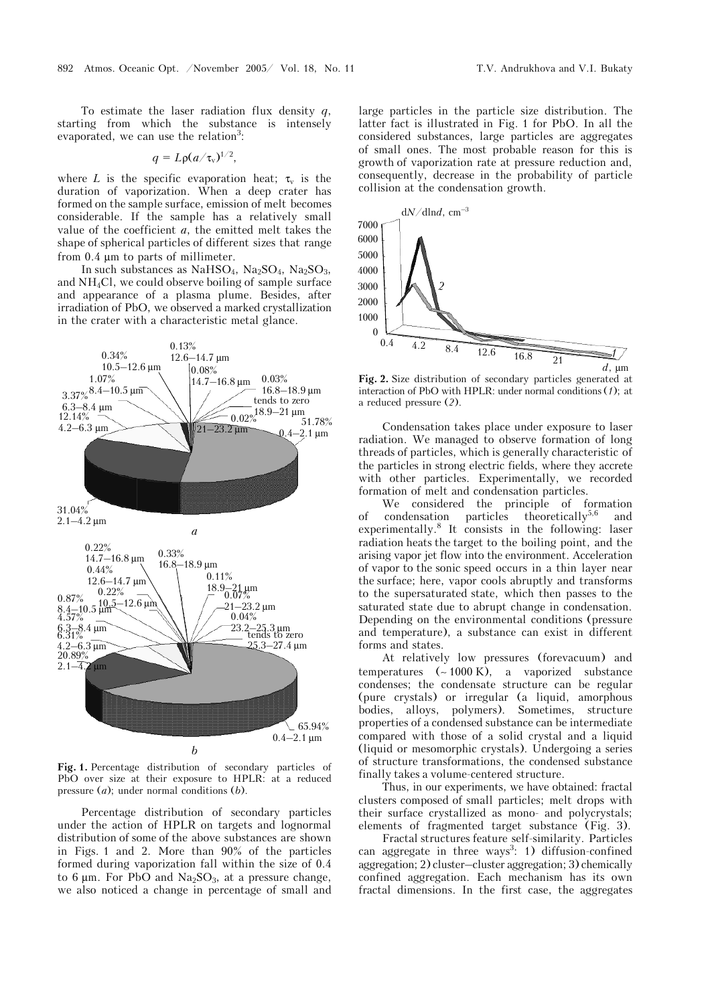To estimate the laser radiation flux density *q*, starting from which the substance is intensely evaporated, we can use the relation<sup>3</sup>:

$$
q = L \rho (a/\tau_v)^{1/2},
$$

where *L* is the specific evaporation heat;  $\tau_v$  is the duration of vaporization. When a deep crater has formed on the sample surface, emission of melt becomes considerable. If the sample has a relatively small value of the coefficient *a*, the emitted melt takes the shape of spherical particles of different sizes that range from 0.4 μm to parts of millimeter.

In such substances as  $NaHSO<sub>4</sub>$ ,  $Na<sub>2</sub>SO<sub>4</sub>$ ,  $Na<sub>2</sub>SO<sub>3</sub>$ , and  $NH<sub>4</sub>Cl$ , we could observe boiling of sample surface and appearance of a plasma plume. Besides, after irradiation of PbO, we observed a marked crystallization in the crater with a characteristic metal glance.



**Fig. 1.** Percentage distribution of secondary particles of PbO over size at their exposure to HPLR: at a reduced pressure (*a*); under normal conditions (*b*).

Percentage distribution of secondary particles under the action of HPLR on targets and lognormal distribution of some of the above substances are shown in Figs. 1 and 2. More than 90% of the particles formed during vaporization fall within the size of 0.4 to 6  $\mu$ m. For PbO and Na<sub>2</sub>SO<sub>3</sub>, at a pressure change, we also noticed a change in percentage of small and large particles in the particle size distribution. The latter fact is illustrated in Fig. 1 for PbO. In all the considered substances, large particles are aggregates of small ones. The most probable reason for this is growth of vaporization rate at pressure reduction and, consequently, decrease in the probability of particle collision at the condensation growth.



**Fig. 2.** Size distribution of secondary particles generated at interaction of PbO with HPLR: under normal conditions (*1*); at a reduced pressure (*2*).

Condensation takes place under exposure to laser radiation. We managed to observe formation of long threads of particles, which is generally characteristic of the particles in strong electric fields, where they accrete with other particles. Experimentally, we recorded formation of melt and condensation particles.

We considered the principle of formation of condensation particles theoretically $5.6$  and experimentally.8 It consists in the following: laser radiation heats the target to the boiling point, and the arising vapor jet flow into the environment. Acceleration of vapor to the sonic speed occurs in a thin layer near the surface; here, vapor cools abruptly and transforms to the supersaturated state, which then passes to the saturated state due to abrupt change in condensation. Depending on the environmental conditions (pressure and temperature), a substance can exist in different forms and states.

At relatively low pressures (forevacuum) and temperatures (∼ 1000 K), a vaporized substance condenses; the condensate structure can be regular (pure crystals) or irregular (a liquid, amorphous bodies, alloys, polymers). Sometimes, structure properties of a condensed substance can be intermediate compared with those of a solid crystal and a liquid (liquid or mesomorphic crystals). Undergoing a series of structure transformations, the condensed substance finally takes a volume-centered structure.

Thus, in our experiments, we have obtained: fractal clusters composed of small particles; melt drops with their surface crystallized as mono- and polycrystals; elements of fragmented target substance (Fig. 3).

Fractal structures feature self-similarity. Particles can aggregate in three ways<sup>3</sup>: 1) diffusion-confined aggregation; 2) cluster–cluster aggregation; 3) chemically confined aggregation. Each mechanism has its own fractal dimensions. In the first case, the aggregates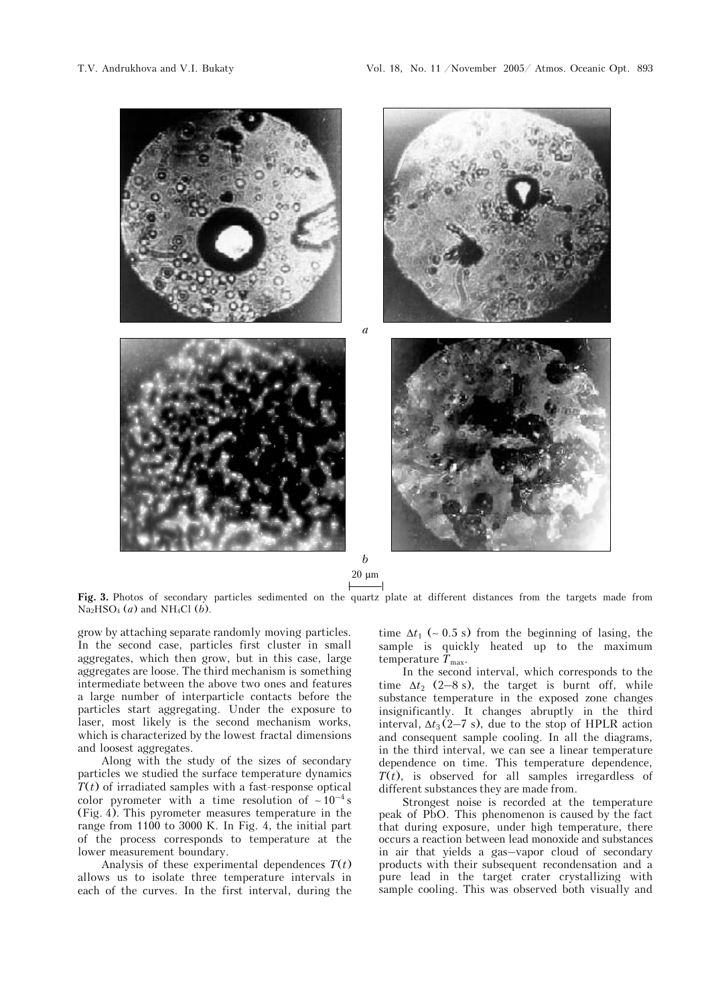

20 μm

**Fig. 3.** Photos of secondary particles sedimented on the quartz plate at different distances from the targets made from  $Na<sub>2</sub>HSO<sub>4</sub>(a)$  and NH<sub>4</sub>Cl (*b*).

grow by attaching separate randomly moving particles. In the second case, particles first cluster in small aggregates, which then grow, but in this case, large aggregates are loose. The third mechanism is something intermediate between the above two ones and features a large number of interparticle contacts before the particles start aggregating. Under the exposure to laser, most likely is the second mechanism works, which is characterized by the lowest fractal dimensions and loosest aggregates.

Along with the study of the sizes of secondary particles we studied the surface temperature dynamics  $T(t)$  of irradiated samples with a fast-response optical color pyrometer with a time resolution of  $~10^{-4}$  s (Fig. 4). This pyrometer measures temperature in the range from 1100 to 3000 K. In Fig. 4, the initial part of the process corresponds to temperature at the lower measurement boundary.

Analysis of these experimental dependences  $T(t)$ allows us to isolate three temperature intervals in each of the curves. In the first interval, during the time  $\Delta t_1$  (~ 0.5 s) from the beginning of lasing, the sample is quickly heated up to the maximum temperature  $T_{\text{max}}$ .

In the second interval, which corresponds to the time  $\Delta t$ <sub>2</sub> (2–8 s), the target is burnt off, while substance temperature in the exposed zone changes insignificantly. It changes abruptly in the third interval,  $\Delta t_3$  (2–7 s), due to the stop of HPLR action and consequent sample cooling. In all the diagrams, in the third interval, we can see a linear temperature dependence on time. This temperature dependence,  $\overline{T(t)}$ , is observed for all samples irregardless of different substances they are made from.

Strongest noise is recorded at the temperature peak of PbO. This phenomenon is caused by the fact that during exposure, under high temperature, there occurs a reaction between lead monoxide and substances in air that yields a gas–vapor cloud of secondary products with their subsequent recondensation and a pure lead in the target crater crystallizing with sample cooling. This was observed both visually and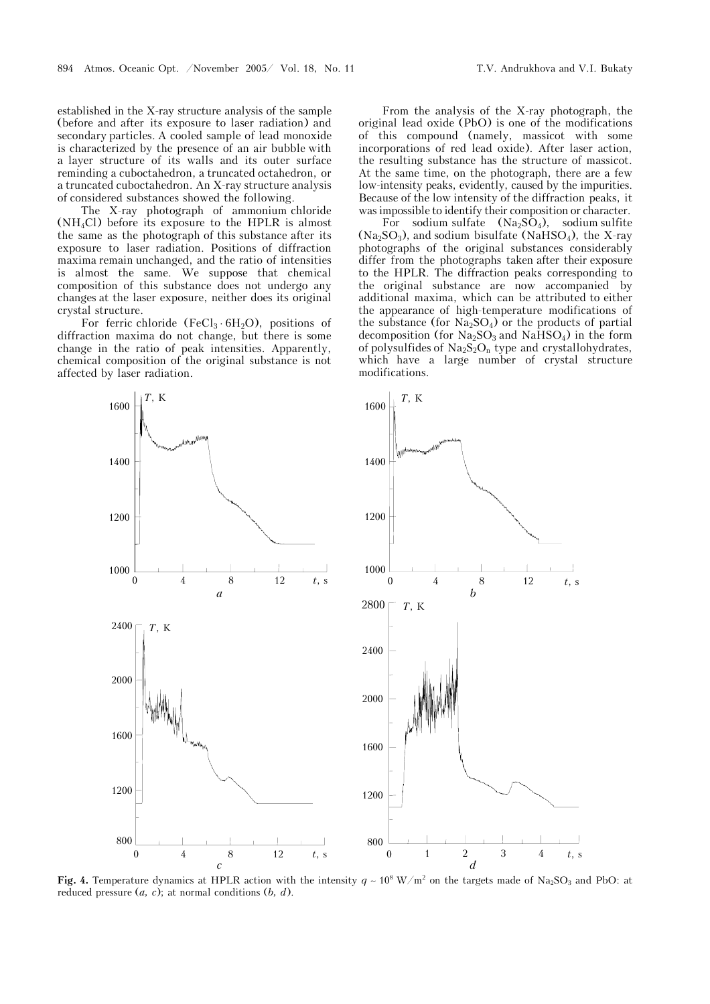established in the X-ray structure analysis of the sample (before and after its exposure to laser radiation) and secondary particles. A cooled sample of lead monoxide is characterized by the presence of an air bubble with a layer structure of its walls and its outer surface reminding a cuboctahedron, a truncated octahedron, or a truncated cuboctahedron. An X-ray structure analysis of considered substances showed the following.

The X-ray photograph of ammonium chloride  $(NH_4Cl)$  before its exposure to the HPLR is almost the same as the photograph of this substance after its exposure to laser radiation. Positions of diffraction maxima remain unchanged, and the ratio of intensities is almost the same. We suppose that chemical composition of this substance does not undergo any changes at the laser exposure, neither does its original crystal structure.

For ferric chloride (FeCl<sub>3</sub>  $\cdot$  6H<sub>2</sub>O), positions of diffraction maxima do not change, but there is some change in the ratio of peak intensities. Apparently, chemical composition of the original substance is not affected by laser radiation.

From the analysis of the X-ray photograph, the original lead oxide (PbO) is one of the modifications of this compound (namely, massicot with some incorporations of red lead oxide). After laser action, the resulting substance has the structure of massicot. At the same time, on the photograph, there are a few low-intensity peaks, evidently, caused by the impurities. Because of the low intensity of the diffraction peaks, it was impossible to identify their composition or character.

For sodium sulfate  $(Na_2SO_4)$ , sodium sulfite  $(Na<sub>2</sub>SO<sub>3</sub>)$ , and sodium bisulfate  $(NaHSO<sub>4</sub>)$ , the X-ray photographs of the original substances considerably differ from the photographs taken after their exposure to the HPLR. The diffraction peaks corresponding to the original substance are now accompanied by additional maxima, which can be attributed to either the appearance of high-temperature modifications of the substance (for  $Na<sub>2</sub>SO<sub>4</sub>$ ) or the products of partial decomposition (for  $Na<sub>2</sub>SO<sub>3</sub>$  and  $Na<sub>1</sub>SO<sub>4</sub>$ ) in the form of polysulfides of  $Na<sub>2</sub>S<sub>2</sub>O<sub>n</sub>$  type and crystallohydrates, which have a large number of crystal structure modifications.



**Fig. 4.** Temperature dynamics at HPLR action with the intensity  $q \sim 10^8 \text{ W/m}^2$  on the targets made of Na<sub>2</sub>SO<sub>3</sub> and PbO: at reduced pressure (*a, c*); at normal conditions (*b, d*).